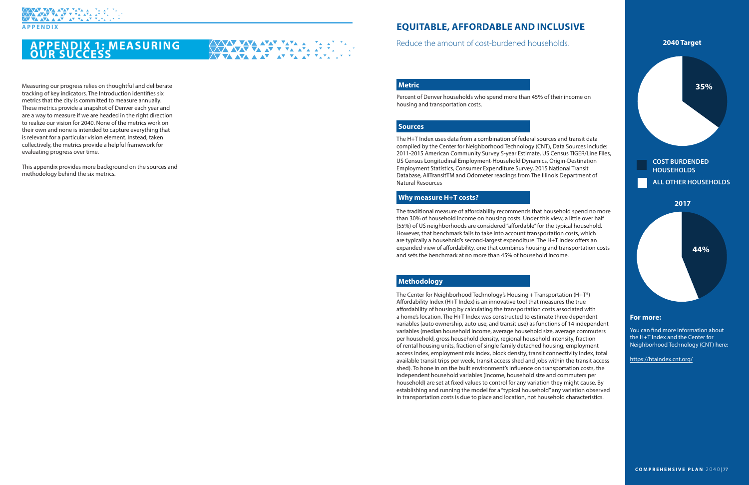### **APPENDIX 1: MEASURING OUR SUCCESS**

Measuring our progress relies on thoughtful and deliberate tracking of key indicators. The Introduction identifies six metrics that the city is committed to measure annually. These metrics provide a snapshot of Denver each year and are a way to measure if we are headed in the right direction to realize our vision for 2040. None of the metrics work on their own and none is intended to capture everything that is relevant for a particular vision element. Instead, taken collectively, the metrics provide a helpful framework for evaluating progress over time.

This appendix provides more background on the sources and methodology behind the six metrics.

# **EQUITABLE, AFFORDABLE AND INCLUSIVE**

#### **Why measure H+T costs?**

#### **Methodology**

#### **Metric**

**XXV VA AV V VA AVA AV** 

#### **For more:**

Percent of Denver households who spend more than 45% of their income on housing and transportation costs.

The traditional measure of affordability recommends that household spend no more than 30% of household income on housing costs. Under this view, a little over half (55%) of US neighborhoods are considered "affordable" for the typical household. However, that benchmark fails to take into account transportation costs, which are typically a household's second-largest expenditure. The H+T Index offers an expanded view of affordability, one that combines housing and transportation costs and sets the benchmark at no more than 45% of household income.

The Center for Neighborhood Technology's Housing + Transportation (H+T®) Affordability Index (H+T Index) is an innovative tool that measures the true affordability of housing by calculating the transportation costs associated with a home's location. The H+T Index was constructed to estimate three dependent variables (auto ownership, auto use, and transit use) as functions of 14 independent variables (median household income, average household size, average commuters per household, gross household density, regional household intensity, fraction of rental housing units, fraction of single family detached housing, employment access index, employment mix index, block density, transit connectivity index, total available transit trips per week, transit access shed and jobs within the transit access shed). To hone in on the built environment's influence on transportation costs, the independent household variables (income, household size and commuters per household) are set at fixed values to control for any variation they might cause. By establishing and running the model for a "typical household" any variation observed in transportation costs is due to place and location, not household characteristics.

You can find more information about the H+T Index and the Center for Neighborhood Technology (CNT) here:

<https://htaindex.cnt.org/>

Reduce the amount of cost-burdened households.

#### **Sources**

The H+T Index uses data from a combination of federal sources and transit data compiled by the Center for Neighborhood Technology (CNT), Data Sources include: 2011-2015 American Community Survey 5-year Estimate, US Census TIGER/Line Files, US Census Longitudinal Employment-Household Dynamics, Origin-Destination Employment Statistics, Consumer Expenditure Survey, 2015 National Transit Database, AllTransitTM and Odometer readings from The Illinois Department of Natural Resources





**ALL OTHER HOUSEHOLDS**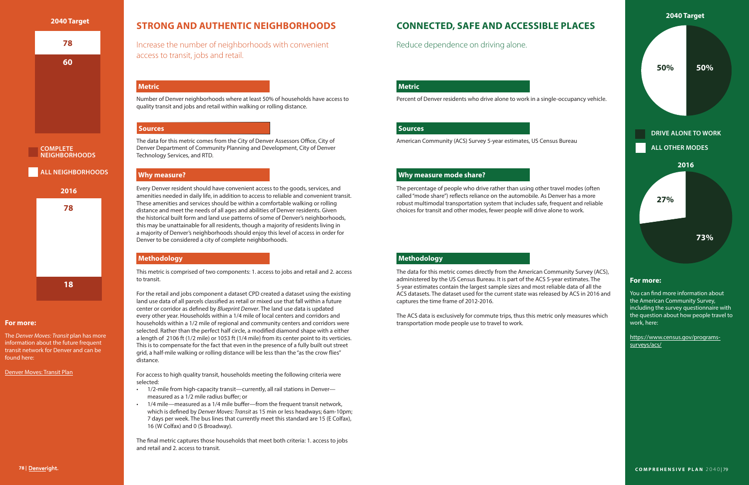# **STRONG AND AUTHENTIC NEIGHBORHOODS**

#### **Why measure?**

#### **Methodology**

#### **Metric**

Number of Denver neighborhoods where at least 50% of households have access to quality transit and jobs and retail within walking or rolling distance.

Every Denver resident should have convenient access to the goods, services, and amenities needed in daily life, in addition to access to reliable and convenient transit. These amenities and services should be within a comfortable walking or rolling distance and meet the needs of all ages and abilities of Denver residents. Given the historical built form and land use patterns of some of Denver's neighborhoods, this may be unattainable for all residents, though a majority of residents living in a majority of Denver's neighborhoods should enjoy this level of access in order for Denver to be considered a city of complete neighborhoods.

This metric is comprised of two components: 1. access to jobs and retail and 2. access to transit.

For the retail and jobs component a dataset CPD created a dataset using the existing land use data of all parcels classified as retail or mixed use that fall within a future center or corridor as defined by *Blueprint Denver*. The land use data is updated every other year. Households within a 1/4 mile of local centers and corridors and households within a 1/2 mile of regional and community centers and corridors were selected. Rather than the perfect half circle, a modified diamond shape with a either a length of 2106 ft (1/2 mile) or 1053 ft (1/4 mile) from its center point to its verticies. This is to compensate for the fact that even in the presence of a fully built out street grid, a half-mile walking or rolling distance will be less than the "as the crow flies" distance.

For access to high quality transit, households meeting the following criteria were selected:

- 1/2-mile from high-capacity transit—currently, all rail stations in Denver measured as a 1/2 mile radius buffer; or
- 1/4 mile—measured as a 1/4 mile buffer—from the frequent transit network, which is defined by *Denver Moves: Transit* as 15 min or less headways; 6am-10pm; 7 days per week. The bus lines that currently meet this standard are 15 (E Colfax), 16 (W Colfax) and 0 (S Broadway).

The final metric captures those households that meet both criteria: 1. access to jobs and retail and 2. access to transit.

Increase the number of neighborhoods with convenient access to transit, jobs and retail.

#### **For more:**

The *Denver Moves: Transit* plan has more information about the future frequent transit network for Denver and can be found here:

#### [Denver Moves: Transit Plan](https://www.denvergov.org/content/denvergov/en/denveright/transit.html)

#### **Sources**

The data for this metric comes from the City of Denver Assessors Office, City of Denver Department of Community Planning and Development, City of Denver Technology Services, and RTD.





# **CONNECTED, SAFE AND ACCESSIBLE PLACES**

#### **Why measure mode share?**

#### **Methodology**

#### **Metric**

#### **For more:**

Percent of Denver residents who drive alone to work in a single-occupancy vehicle.

The percentage of people who drive rather than using other travel modes (often called "mode share") reflects reliance on the automobile. As Denver has a more robust multimodal transportation system that includes safe, frequent and reliable choices for transit and other modes, fewer people will drive alone to work.



The data for this metric comes directly from the American Community Survey (ACS), administered by the US Census Bureau. It is part of the ACS 5-year estimates. The 5-year estimates contain the largest sample sizes and most reliable data of all the ACS datasets. The dataset used for the current state was released by ACS in 2016 and captures the time frame of 2012-2016.

The ACS data is exclusively for commute trips, thus this metric only measures which transportation mode people use to travel to work.

You can find more information about the American Community Survey, including the survey questionnaire with the question about how people travel to work, here:

[https://www.census.gov/programs](https://www.census.gov/programs-surveys/acs/)[surveys/acs/](https://www.census.gov/programs-surveys/acs/)

Reduce dependence on driving alone.

#### **Sources**

American Community (ACS) Survey 5-year estimates, US Census Bureau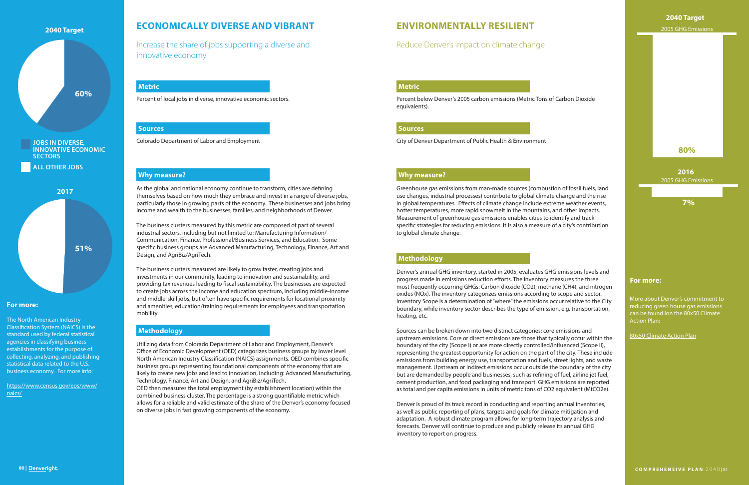### **ECONOMICALLY DIVERSE AND VIBRANT**

#### **Why measure?**

#### **Methodology**

#### **Metric**

Percent of local jobs in diverse, innovative economic sectors.

As the global and national economy continue to transform, cities are defining themselves based on how much they embrace and invest in a range of diverse jobs, particularly those in growing parts of the economy. These businesses and jobs bring income and wealth to the businesses, families, and neighborhoods of Denver.

The business clusters measured by this metric are composed of part of several industrial sectors, including but not limited to: Manufacturing Information/ Communication, Finance, Professional/Business Services, and Education. Some specific business groups are Advanced Manufacturing, Technology, Finance, Art and Design, and AgriBiz/AgriTech.

The business clusters measured are likely to grow faster, creating jobs and investments in our community, leading to innovation and sustainability, and providing tax revenues leading to fiscal sustainability. The businesses are expected to create jobs across the income and education spectrum, including middle-income and middle-skill jobs, but often have specific requirements for locational proximity and amenities, education/training requirements for employees and transportation mobility.

Utilizing data from Colorado Department of Labor and Employment, Denver's Office of Economic Development (OED) categorizes business groups by lower level North American Industry Classification (NAICS) assignments. OED combines specific business groups representing foundational components of the economy that are likely to create new jobs and lead to innovation, including: Advanced Manufacturing, Technology, Finance, Art and Design, and AgriBiz/AgriTech.

OED then measures the total employment (by establishment location) within the combined business cluster. The percentage is a strong quantifiable metric which allows for a reliable and valid estimate of the share of the Denver's economy focused on diverse jobs in fast growing components of the economy.

Increase the share of jobs supporting a diverse and innovative economy

#### **For more:**

#### **Sources**

Colorado Department of Labor and Employment

The North American Industry Classification System (NAICS) is the standard used by federal statistical agencies in classifying business establishments for the purpose of collecting, analyzing, and publishing statistical data related to the U.S. business economy. For more info:

[https://www.census.gov/eos/www/](https://www.census.gov/eos/www/naics/) [naics/](https://www.census.gov/eos/www/naics/)



## **ENVIRONMENTALLY RESILIENT**

#### **Why measure?**

#### **Methodology**

#### **Metric**

#### **For more:**

Percent below Denver's 2005 carbon emissions (Metric Tons of Carbon Dioxide equivalents).

Greenhouse gas emissions from man-made sources (combustion of fossil fuels, land use changes, industrial processes) contribute to global climate change and the rise in global temperatures. Effects of climate change include extreme weather events, hotter temperatures, more rapid snowmelt in the mountains, and other impacts. Measurement of greenhouse gas emissions enables cities to identify and track specific strategies for reducing emissions. It is also a measure of a city's contribution to global climate change.

Denver's annual GHG inventory, started in 2005, evaluates GHG emissions levels and progress made in emissions reduction efforts. The inventory measures the three most frequently occurring GHGs: Carbon dioxide (CO2), methane (CH4), and nitrogen oxides (NOx). The inventory categorizes emissions according to scope and sector. Inventory Scope is a determination of "where" the emissions occur relative to the City boundary, while inventory sector describes the type of emission, e.g. transportation, heating, etc.

Sources can be broken down into two distinct categories: core emissions and upstream emissions. Core or direct emissions are those that typically occur within the boundary of the city (Scope I) or are more directly controlled/influenced (Scope II), representing the greatest opportunity for action on the part of the city. These include emissions from building energy use, transportation and fuels, street lights, and waste management. Upstream or indirect emissions occur outside the boundary of the city but are demanded by people and businesses, such as refining of fuel, airline jet fuel, cement production, and food packaging and transport. GHG emissions are reported as total and per capita emissions in units of metric tons of CO2 equivalent (MtCO2e).

Denver is proud of its track record in conducting and reporting annual inventories, as well as public reporting of plans, targets and goals for climate mitigation and adaptation. A robust climate program allows for long-term trajectory analysis and forecasts. Denver will continue to produce and publicly release its annual GHG inventory to report on progress.

### Reduce Denver's impact on climate change

#### **Sources**

City of Denver Department of Public Health & Environment

### **2040 Target**

**7%**

#### **80%**

More about Denver's commitment to reducing green house gas emissions can be found ion the 80x50 Climate Action Plan:

#### **2016** 2005 GHG Emissions

[80x50](https://www.denvergov.org/content/dam/denvergov/Portals/771/documents/EQ/80x50/DDPHE_80x50_ClimateActionPlan.pdf) Climate Action Plan

#### 2005 GHG Emissions